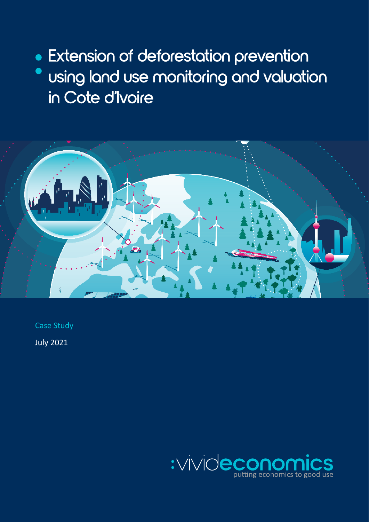• Extension of deforestation prevention · using land use monitoring and valuation in Cote d'Ivoire



Case Study

July 2021

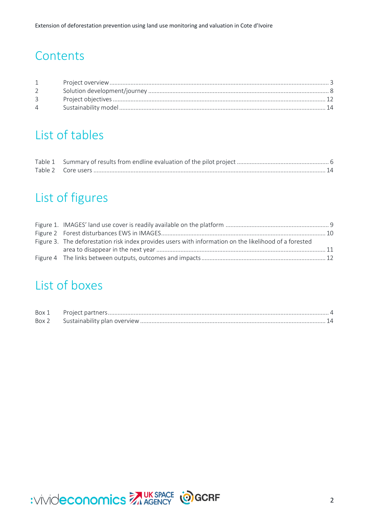# **Contents**

| $\overline{4}$ |  |
|----------------|--|

# List of tables

# List of figures

| Figure 3. The deforestation risk index provides users with information on the likelihood of a forested |  |
|--------------------------------------------------------------------------------------------------------|--|
|                                                                                                        |  |
|                                                                                                        |  |

# List of boxes

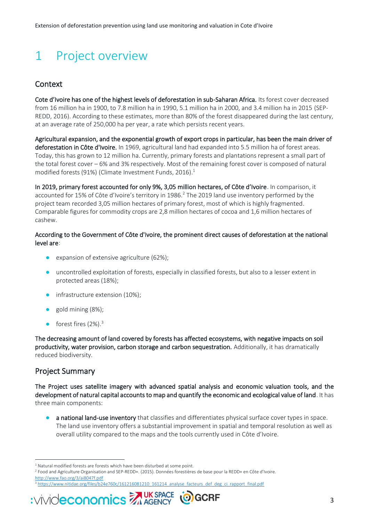# <span id="page-2-0"></span>1 Project overview

### **Context**

Cote d'Ivoire has one of the highest levels of deforestation in sub-Saharan Africa. Its forest cover decreased from 16 million ha in 1900, to 7.8 million ha in 1990, 5.1 million ha in 2000, and 3.4 million ha in 2015 (SEP-REDD, 2016). According to these estimates, more than 80% of the forest disappeared during the last century, at an average rate of 250,000 ha per year, a rate which persists recent years.

Agricultural expansion, and the exponential growth of export crops in particular, has been the main driver of deforestation in Côte d'Ivoire. In 1969, agricultural land had expanded into 5.5 million ha of forest areas. Today, this has grown to 12 million ha. Currently, primary forests and plantations represent a small part of the total forest cover – 6% and 3% respectively. Most of the remaining forest cover is composed of natural modified forests (91%) (Climate Investment Funds, 2016). 1

In 2019, primary forest accounted for only 9%, 3,05 million hectares, of Côte d'Ivoire. In comparison, it accounted for 15% of Côte d'Ivoire's territory in 1986.<sup>2</sup> The 2019 land use inventory performed by the project team recorded 3,05 million hectares of primary forest, most of which is highly fragmented. Comparable figures for commodity crops are 2,8 million hectares of cocoa and 1,6 million hectares of cashew.

### According to the Government of Côte d'Ivoire, the prominent direct causes of deforestation at the national level are:

- expansion of extensive agriculture (62%);
- uncontrolled exploitation of forests, especially in classified forests, but also to a lesser extent in protected areas (18%);
- infrastructure extension (10%);
- gold mining (8%);
- forest fires  $(2\%)$ .<sup>3</sup>

The decreasing amount of land covered by forests has affected ecosystems, with negative impacts on soil productivity, water provision, carbon storage and carbon sequestration. Additionally, it has dramatically reduced biodiversity.

### Project Summary

The Project uses satellite imagery with advanced spatial analysis and economic valuation tools, and the development of natural capital accounts to map and quantify the economic and ecological value of land. It has three main components:

● a national land-use inventory that classifies and differentiates physical surface cover types in space. The land use inventory offers a substantial improvement in spatial and temporal resolution as well as overall utility compared to the maps and the tools currently used in Côte d'Ivoire.

<sup>&</sup>lt;sup>3</sup> [https://www.nitidae.org/files/b24e760c/161216081210\\_161214\\_analyse\\_facteurs\\_def\\_deg\\_ci\\_rapport\\_final.pdf](https://www.nitidae.org/files/b24e760c/161216081210_161214_analyse_facteurs_def_deg_ci_rapport_final.pdf)



<sup>&</sup>lt;sup>1</sup> Natural modified forests are forests which have been disturbed at some point.

<sup>2</sup> Food and Agriculture Organisation and SEP-REDD+. (2015). Données forestières de base pour la REDD+ en Côte d'Ivoire. <http://www.fao.org/3/ai8047f.pdf>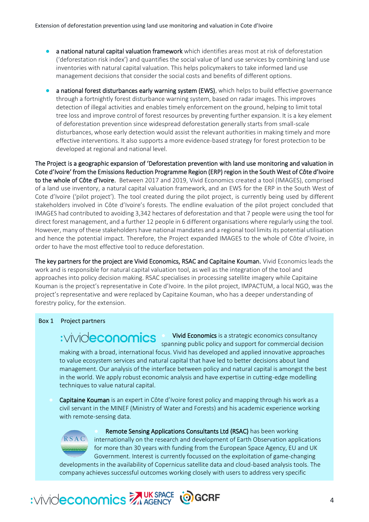- a national natural capital valuation framework which identifies areas most at risk of deforestation ('deforestation risk index') and quantifies the social value of land use services by combining land use inventories with natural capital valuation. This helps policymakers to take informed land use management decisions that consider the social costs and benefits of different options.
- a national forest disturbances early warning system (EWS), which helps to build effective governance through a fortnightly forest disturbance warning system, based on radar images. This improves detection of illegal activities and enables timely enforcement on the ground, helping to limit total tree loss and improve control of forest resources by preventing further expansion. It is a key element of deforestation prevention since widespread deforestation generally starts from small-scale disturbances, whose early detection would assist the relevant authorities in making timely and more effective interventions. It also supports a more evidence-based strategy for forest protection to be developed at regional and national level.

The Project is a geographic expansion of 'Deforestation prevention with land use monitoring and valuation in Cote d'Ivoire' from the Emissions Reduction Programme Region (ERP) region in the South West of Côte d'Ivoire to the whole of Côte d'Ivoire. Between 2017 and 2019, Vivid Economics created a tool (IMAGES), comprised of a land use inventory, a natural capital valuation framework, and an EWS for the ERP in the South West of Cote d'Ivoire ('pilot project'). The tool created during the pilot project, is currently being used by different stakeholders involved in Côte d'Ivoire's forests. The endline evaluation of the pilot project concluded that IMAGES had contributed to avoiding 3,342 hectares of deforestation and that 7 people were using the tool for direct forest management, and a further 12 people in 6 different organisations where regularly using the tool. However, many of these stakeholders have national mandates and a regional tool limits its potential utilisation and hence the potential impact. Therefore, the Project expanded IMAGES to the whole of Côte d'Ivoire, in order to have the most effective tool to reduce deforestation.

The key partners for the project are Vivid Economics, RSAC and Capitaine Kouman. Vivid Economics leads the work and is responsible for natural capital valuation tool, as well as the integration of the tool and approaches into policy decision making. RSAC specialises in processing satellite imagery while Capitaine Kouman is the project's representative in Cote d'Ivoire. In the pilot project, IMPACTUM, a local NGO, was the project's representative and were replaced by Capitaine Kouman, who has a deeper understanding of forestry policy, for the extension.

### <span id="page-3-0"></span>Box 1 Project partners

## :vivideconomics

spanning public policy and support for commercial decision making with a broad, international focus. Vivid has developed and applied innovative approaches to value ecosystem services and natural capital that have led to better decisions about land management. Our analysis of the interface between policy and natural capital is amongst the best in the world. We apply robust economic analysis and have expertise in cutting-edge modelling techniques to value natural capital.

Vivid Economics is a strategic economics consultancy

Capitaine Kouman is an expert in Côte d'Ivoire forest policy and mapping through his work as a civil servant in the MINEF (Ministry of Water and Forests) and his academic experience working with remote-sensing data.



Remote Sensing Applications Consultants Ltd (RSAC) has been working internationally on the research and development of Earth Observation applications for more than 30 years with funding from the European Space Agency, EU and UK Government. Interest is currently focussed on the exploitation of game-changing

developments in the availability of Copernicus satellite data and cloud-based analysis tools. The company achieves successful outcomes working closely with users to address very specific

# WINDECONOMICS MUKSPACE COGCRF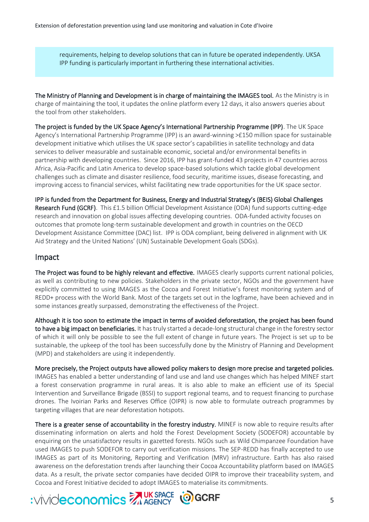requirements, helping to develop solutions that can in future be operated independently. UKSA IPP funding is particularly important in furthering these international activities.

The Ministry of Planning and Development is in charge of maintaining the IMAGES tool. As the Ministry is in charge of maintaining the tool, it updates the online platform every 12 days, it also answers queries about the tool from other stakeholders.

The project is funded by the UK Space Agency's International Partnership Programme (IPP). The UK Space Agency's International Partnership Programme (IPP) is an award-winning >£150 million space for sustainable development initiative which utilises the UK space sector's capabilities in satellite technology and data services to deliver measurable and sustainable economic, societal and/or environmental benefits in partnership with developing countries. Since 2016, IPP has grant-funded 43 projects in 47 countries across Africa, Asia-Pacific and Latin America to develop space-based solutions which tackle global development challenges such as climate and disaster resilience, food security, maritime issues, disease forecasting, and improving access to financial services, whilst facilitating new trade opportunities for the UK space sector.

IPP is funded from the Department for Business, Energy and Industrial Strategy's (BEIS) Global Challenges Research Fund (GCRF). This £1.5 billion Official Development Assistance (ODA) fund supports cutting-edge research and innovation on global issues affecting developing countries. ODA-funded activity focuses on outcomes that promote long-term sustainable development and growth in countries on the OECD Development Assistance Committee (DAC) list. IPP is ODA compliant, being delivered in alignment with UK Aid Strategy and the United Nations' (UN) Sustainable Development Goals (SDGs).

### Impact

The Project was found to be highly relevant and effective. IMAGES clearly supports current national policies, as well as contributing to new policies. Stakeholders in the private sector, NGOs and the government have explicitly committed to using IMAGES as the Cocoa and Forest Initiative's forest monitoring system and of REDD+ process with the World Bank. Most of the targets set out in the logframe, have been achieved and in some instances greatly surpassed, demonstrating the effectiveness of the Project.

Although it is too soon to estimate the impact in terms of avoided deforestation, the project has been found to have a big impact on beneficiaries. It has truly started a decade-long structural change in the forestry sector of which it will only be possible to see the full extent of change in future years. The Project is set up to be sustainable, the upkeep of the tool has been successfully done by the Ministry of Planning and Development (MPD) and stakeholders are using it independently.

More precisely, the Project outputs have allowed policy makers to design more precise and targeted policies. IMAGES has enabled a better understanding of land use and land use changes which has helped MINEF start a forest conservation programme in rural areas. It is also able to make an efficient use of its Special Intervention and Surveillance Brigade (BSSI) to support regional teams, and to request financing to purchase drones. The Ivoirian Parks and Reserves Office (OIPR) is now able to formulate outreach programmes by targeting villages that are near deforestation hotspots.

There is a greater sense of accountability in the forestry industry. MINEF is now able to require results after disseminating information on alerts and hold the Forest Development Society (SODEFOR) accountable by enquiring on the unsatisfactory results in gazetted forests. NGOs such as Wild Chimpanzee Foundation have used IMAGES to push SODEFOR to carry out verification missions. The SEP-REDD has finally accepted to use IMAGES as part of its Monitoring, Reporting and Verification (MRV) infrastructure. Earth has also raised awareness on the deforestation trends after launching their Cocoa Accountability platform based on IMAGES data. As a result, the private sector companies have decided OIPR to improve their traceability system, and Cocoa and Forest Initiative decided to adopt IMAGES to materialise its commitments.

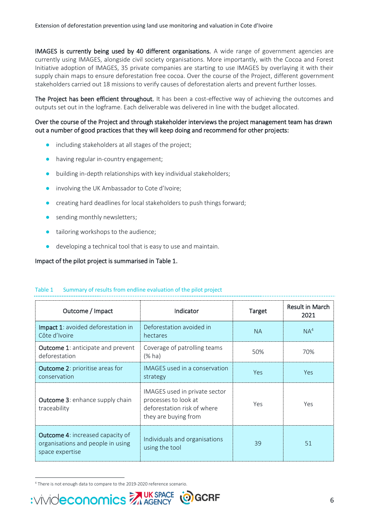IMAGES is currently being used by 40 different organisations. A wide range of government agencies are currently using IMAGES, alongside civil society organisations. More importantly, with the Cocoa and Forest Initiative adoption of IMAGES, 35 private companies are starting to use IMAGES by overlaying it with their supply chain maps to ensure deforestation free cocoa. Over the course of the Project, different government stakeholders carried out 18 missions to verify causes of deforestation alerts and prevent further losses.

The Project has been efficient throughout. It has been a cost-effective way of achieving the outcomes and outputs set out in the logframe. Each deliverable was delivered in line with the budget allocated.

### Over the course of the Project and through stakeholder interviews the project management team has drawn out a number of good practices that they will keep doing and recommend for other projects:

- including stakeholders at all stages of the project;
- having regular in-country engagement;
- building in-depth relationships with key individual stakeholders;
- involving the UK Ambassador to Cote d'Ivoire;
- creating hard deadlines for local stakeholders to push things forward;
- sending monthly newsletters;
- tailoring workshops to the audience;
- developing a technical tool that is easy to use and maintain.

### Impact of the pilot project is summarised in [Table 1.](#page-5-0)

| Outcome / Impact                                                                                | Indicator                                                                                                    | <b>Target</b> | <b>Result in March</b><br>2021 |
|-------------------------------------------------------------------------------------------------|--------------------------------------------------------------------------------------------------------------|---------------|--------------------------------|
| <b>Impact 1:</b> avoided deforestation in<br>Côte d'Ivoire                                      | Deforestation avoided in<br>hectares                                                                         | <b>NA</b>     | NA <sup>4</sup>                |
| <b>Outcome 1:</b> anticipate and prevent<br>deforestation                                       | Coverage of patrolling teams<br>$(%$ ha)                                                                     | 50%           | 70%                            |
| <b>Outcome 2: prioritise areas for</b><br>conservation                                          | IMAGES used in a conservation<br>strategy                                                                    | <b>Yes</b>    | Yes                            |
| <b>Outcome 3: enhance supply chain</b><br>traceability                                          | IMAGES used in private sector<br>processes to look at<br>deforestation risk of where<br>they are buying from | Yes           | Yes                            |
| <b>Outcome 4: increased capacity of</b><br>organisations and people in using<br>space expertise | Individuals and organisations<br>using the tool                                                              | 39            | 51                             |

#### <span id="page-5-0"></span>Table 1 Summary of results from endline evaluation of the pilot project

<sup>4</sup> There is not enough data to compare to the 2019-2020 reference scenario.

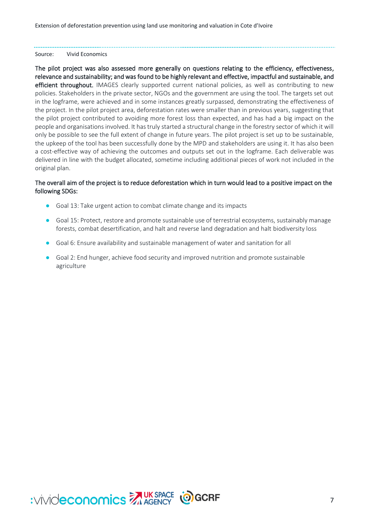Extension of deforestation prevention using land use monitoring and valuation in Cote d'Ivoire

#### Source: Vivid Economics

The pilot project was also assessed more generally on questions relating to the efficiency, effectiveness, relevance and sustainability; and was found to be highly relevant and effective, impactful and sustainable, and efficient throughout. IMAGES clearly supported current national policies, as well as contributing to new policies. Stakeholders in the private sector, NGOs and the government are using the tool. The targets set out in the logframe, were achieved and in some instances greatly surpassed, demonstrating the effectiveness of the project. In the pilot project area, deforestation rates were smaller than in previous years, suggesting that the pilot project contributed to avoiding more forest loss than expected, and has had a big impact on the people and organisations involved. It has truly started a structural change in the forestry sector of which it will only be possible to see the full extent of change in future years. The pilot project is set up to be sustainable, the upkeep of the tool has been successfully done by the MPD and stakeholders are using it. It has also been a cost-effective way of achieving the outcomes and outputs set out in the logframe. Each deliverable was delivered in line with the budget allocated, sometime including additional pieces of work not included in the original plan.

### The overall aim of the project is to reduce deforestation which in turn would lead to a positive impact on the following SDGs:

- Goal 13: Take urgent action to combat climate change and its impacts
- Goal 15: Protect, restore and promote sustainable use of terrestrial ecosystems, sustainably manage forests, combat desertification, and halt and reverse land degradation and halt biodiversity loss
- Goal 6: Ensure availability and sustainable management of water and sanitation for all
- Goal 2: End hunger, achieve food security and improved nutrition and promote sustainable agriculture

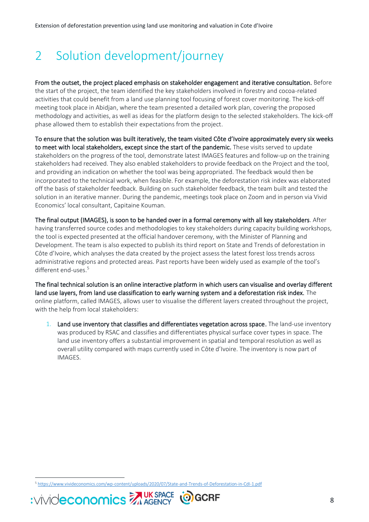# <span id="page-7-0"></span>2 Solution development/journey

From the outset, the project placed emphasis on stakeholder engagement and iterative consultation. Before the start of the project, the team identified the key stakeholders involved in forestry and cocoa-related activities that could benefit from a land use planning tool focusing of forest cover monitoring. The kick-off meeting took place in Abidjan, where the team presented a detailed work plan, covering the proposed methodology and activities, as well as ideas for the platform design to the selected stakeholders. The kick-off phase allowed them to establish their expectations from the project.

To ensure that the solution was built iteratively, the team visited Côte d'Ivoire approximately every six weeks to meet with local stakeholders, except since the start of the pandemic. These visits served to update stakeholders on the progress of the tool, demonstrate latest IMAGES features and follow-up on the training stakeholders had received. They also enabled stakeholders to provide feedback on the Project and the tool, and providing an indication on whether the tool was being appropriated. The feedback would then be incorporated to the technical work, when feasible. For example, the deforestation risk index was elaborated off the basis of stakeholder feedback. Building on such stakeholder feedback, the team built and tested the solution in an iterative manner. During the pandemic, meetings took place on Zoom and in person via Vivid Economics' local consultant, Capitaine Kouman.

The final output (IMAGES), is soon to be handed over in a formal ceremony with all key stakeholders. After having transferred source codes and methodologies to key stakeholders during capacity building workshops, the tool is expected presented at the official handover ceremony, with the Minister of Planning and Development. The team is also expected to publish its third report on State and Trends of deforestation in Côte d'Ivoire, which analyses the data created by the project assess the latest forest loss trends across administrative regions and protected areas. Past reports have been widely used as example of the tool's different end-uses. 5

The final technical solution is an online interactive platform in which users can visualise and overlay different land use layers, from land use classification to early warning system and a deforestation risk index. The online platform, called IMAGES, allows user to visualise the different layers created throughout the project, with the help from local stakeholders:

1. Land use inventory that classifies and differentiates vegetation across space. The land-use inventory was produced by RSAC and classifies and differentiates physical surface cover types in space. The land use inventory offers a substantial improvement in spatial and temporal resolution as well as overall utility compared with maps currently used in Côte d'Ivoire. The inventory is now part of IMAGES.

<sup>5</sup> <https://www.vivideconomics.com/wp-content/uploads/2020/07/State-and-Trends-of-Deforestation-in-CdI-1.pdf>



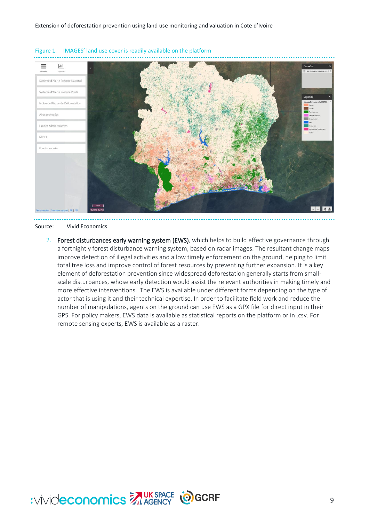

<span id="page-8-0"></span>

#### Source: Vivid Economics

2. Forest disturbances early warning system (EWS), which helps to build effective governance through a fortnightly forest disturbance warning system, based on radar images. The resultant change maps improve detection of illegal activities and allow timely enforcement on the ground, helping to limit total tree loss and improve control of forest resources by preventing further expansion. It is a key element of deforestation prevention since widespread deforestation generally starts from smallscale disturbances, whose early detection would assist the relevant authorities in making timely and more effective interventions. The EWS is available under different forms depending on the type of actor that is using it and their technical expertise. In order to facilitate field work and reduce the number of manipulations, agents on the ground can use EWS as a GPX file for direct input in their GPS. For policy makers, EWS data is available as statistical reports on the platform or in .csv. For remote sensing experts, EWS is available as a raster.

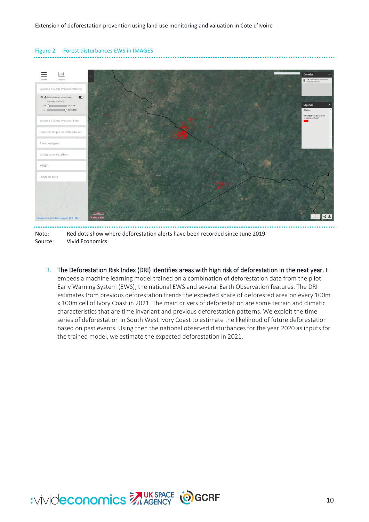<span id="page-9-0"></span>Figure 2 Forest disturbances EWS in IMAGES

### $\equiv$  $|$ -lil ne d'Alerte Précoce Nation 0 ± Perturbations du couvert  $\bullet$ stier national  $5/6/2011$  $DEO$  $O<sup>20/03</sup>$ Système d'Alerte Précoce Pilote Indice de Risque de Défor Aires protegées Limites administratives MINER Fonds de carte  $2 +$

Note: Red dots show where deforestation alerts have been recorded since June 2019 Source: Vivid Economics

3. The Deforestation Risk Index (DRI) identifies areas with high risk of deforestation in the next year. It embeds a machine learning model trained on a combination of deforestation data from the pilot Early Warning System (EWS), the national EWS and several Earth Observation features. The DRI estimates from previous deforestation trends the expected share of deforested area on every 100m x 100m cell of Ivory Coast in 2021. The main drivers of deforestation are some terrain and climatic characteristics that are time invariant and previous deforestation patterns. We exploit the time series of deforestation in South West Ivory Coast to estimate the likelihood of future deforestation based on past events. Using then the national observed disturbances for the year 2020 as inputs for the trained model, we estimate the expected deforestation in 2021.

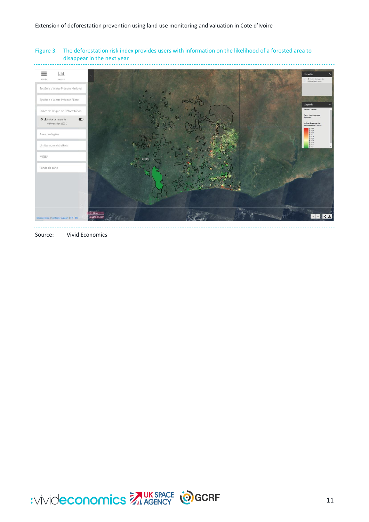<span id="page-10-0"></span>Figure 3. The deforestation risk index provides users with information on the likelihood of a forested area to disappear in the next year



Source: Vivid Economics

 $\sim$ 

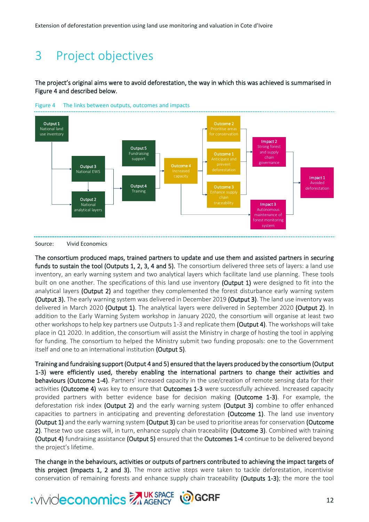# <span id="page-11-0"></span>3 Project objectives

The project's original aims were to avoid deforestation, the way in which this was achieved is summarised in [Figure 4 a](#page-11-1)nd described below.



<span id="page-11-1"></span>

Source: Vivid Economics

The consortium produced maps, trained partners to update and use them and assisted partners in securing funds to sustain the tool (Outputs 1, 2, 3, 4 and 5). The consortium delivered three sets of layers: a land use inventory, an early warning system and two analytical layers which facilitate land use planning. These tools built on one another. The specifications of this land use inventory (Output 1) were designed to fit into the analytical layers (Output 2) and together they complemented the forest disturbance early warning system (Output 3). The early warning system was delivered in December 2019 (Output 3). The land use inventory was delivered in March 2020 (Output 1). The analytical layers were delivered in September 2020 (Output 2). In addition to the Early Warning System workshop in January 2020, the consortium will organise at least two other workshops to help key partners use Outputs 1-3 and replicate them (Output 4). The workshops will take place in Q1 2020. In addition, the consortium will assist the Ministry in charge of hosting the tool in applying for funding. The consortium to helped the Ministry submit two funding proposals: one to the Government itself and one to an international institution (Output 5).

Training and fundraising support (Output 4 and 5) ensured that the layers produced by the consortium (Output 1-3) were efficiently used, thereby enabling the international partners to change their activities and behaviours (Outcome 1-4). Partners' increased capacity in the use/creation of remote sensing data for their activities (Outcome 4) was key to ensure that Outcomes 1-3 were successfully achieved. Increased capacity provided partners with better evidence base for decision making (Outcome 1-3). For example, the deforestation risk index (Output 2) and the early warning system (Output 3) combine to offer enhanced capacities to partners in anticipating and preventing deforestation (Outcome 1). The land use inventory (Output 1) and the early warning system (Output 3) can be used to prioritise areas for conservation (Outcome 2). These two use cases will, in turn, enhance supply chain traceability (Outcome 3). Combined with training (Output 4) fundraising assistance (Output 5) ensured that the Outcomes 1-4 continue to be delivered beyond the project's lifetime.

The change in the behaviours, activities or outputs of partners contributed to achieving the impact targets of this project (Impacts 1, 2 and 3). The more active steps were taken to tackle deforestation, incentivise conservation of remaining forests and enhance supply chain traceability (Outputs 1-3); the more the tool

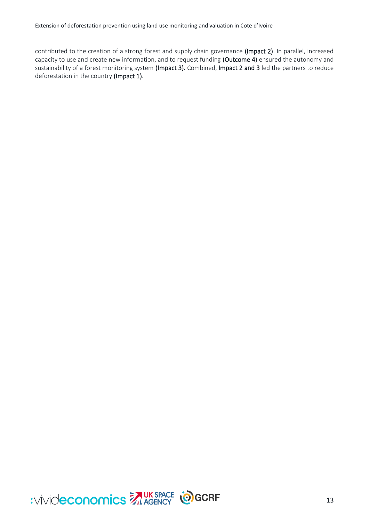contributed to the creation of a strong forest and supply chain governance (Impact 2). In parallel, increased capacity to use and create new information, and to request funding (Outcome 4) ensured the autonomy and sustainability of a forest monitoring system (Impact 3). Combined, Impact 2 and 3 led the partners to reduce deforestation in the country (Impact 1).

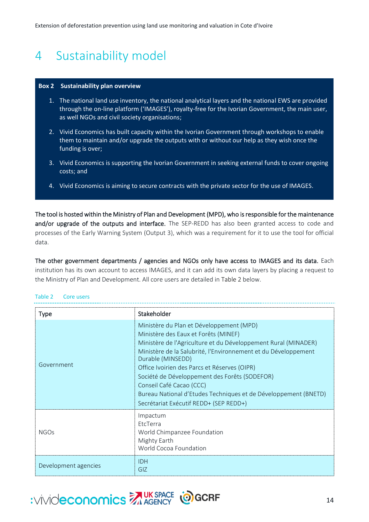# <span id="page-13-0"></span>4 Sustainability model

#### <span id="page-13-2"></span>**Box 2 Sustainability plan overview**

- 1. The national land use inventory, the national analytical layers and the national EWS are provided through the on-line platform ('IMAGES'), royalty-free for the Ivorian Government, the main user, as well NGOs and civil society organisations;
- 2. Vivid Economics has built capacity within the Ivorian Government through workshops to enable them to maintain and/or upgrade the outputs with or without our help as they wish once the funding is over;
- 3. Vivid Economics is supporting the Ivorian Government in seeking external funds to cover ongoing costs; and
- 4. Vivid Economics is aiming to secure contracts with the private sector for the use of IMAGES.

The tool is hosted within the Ministry of Plan and Development (MPD), who is responsible for the maintenance and/or upgrade of the outputs and interface. The SEP-REDD has also been granted access to code and processes of the Early Warning System (Output 3), which was a requirement for it to use the tool for official data.

The other government departments / agencies and NGOs only have access to IMAGES and its data. Each institution has its own account to access IMAGES, and it can add its own data layers by placing a request to the Ministry of Plan and Development. All core users are detailed in [Table 2](#page-13-1) below.

| <b>Type</b>          | Stakeholder                                                                                                                                                                                                                                                                                                                                                                                                                                                                         |
|----------------------|-------------------------------------------------------------------------------------------------------------------------------------------------------------------------------------------------------------------------------------------------------------------------------------------------------------------------------------------------------------------------------------------------------------------------------------------------------------------------------------|
| Government           | Ministère du Plan et Développement (MPD)<br>Ministère des Eaux et Forêts (MINEF)<br>Ministère de l'Agriculture et du Développement Rural (MINADER)<br>Ministère de la Salubrité, l'Environnement et du Développement<br>Durable (MINSEDD)<br>Office Ivoirien des Parcs et Réserves (OIPR)<br>Société de Développement des Forêts (SODEFOR)<br>Conseil Café Cacao (CCC)<br>Bureau National d'Etudes Techniques et de Développement (BNETD)<br>Secrétariat Exécutif REDD+ (SEP REDD+) |
| <b>NGOs</b>          | Impactum<br>EtcTerra<br>World Chimpanzee Foundation<br>Mighty Earth<br>World Cocoa Foundation                                                                                                                                                                                                                                                                                                                                                                                       |
| Development agencies | <b>IDH</b><br>GIZ                                                                                                                                                                                                                                                                                                                                                                                                                                                                   |

### <span id="page-13-1"></span>Table 2 Core users

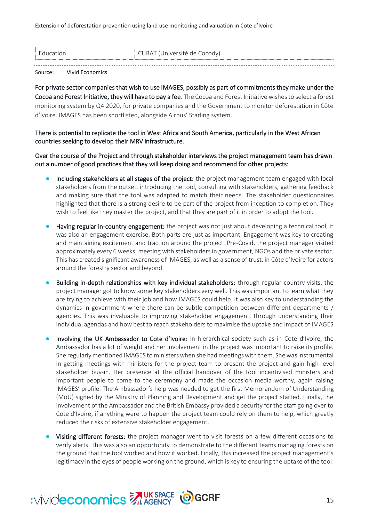| ' Education | $\in$ CURAT (Université de Cocody) |
|-------------|------------------------------------|
|             |                                    |

#### Source: Vivid Economics

For private sector companies that wish to use IMAGES, possibly as part of commitments they make under the Cocoa and Forest Initiative, they will have to pay a fee. The Cocoa and Forest Initiative wishes to select a forest monitoring system by Q4 2020, for private companies and the Government to monitor deforestation in Côte d'Ivoire. IMAGES has been shortlisted, alongside Airbus' Starling system.

### There is potential to replicate the tool in West Africa and South America, particularly in the West African countries seeking to develop their MRV infrastructure.

Over the course of the Project and through stakeholder interviews the project management team has drawn out a number of good practices that they will keep doing and recommend for other projects:

- Including stakeholders at all stages of the project: the project management team engaged with local stakeholders from the outset, introducing the tool, consulting with stakeholders, gathering feedback and making sure that the tool was adapted to match their needs. The stakeholder questionnaires highlighted that there is a strong desire to be part of the project from inception to completion. They wish to feel like they master the project, and that they are part of it in order to adopt the tool.
- Having regular in-country engagement: the project was not just about developing a technical tool, it was also an engagement exercise. Both parts are just as important. Engagement was key to creating and maintaining excitement and traction around the project. Pre-Covid, the project manager visited approximately every 6 weeks, meeting with stakeholders in government, NGOs and the private sector. This has created significant awareness of IMAGES, as well as a sense of trust, in Côte d'Ivoire for actors around the forestry sector and beyond.
- Building in-depth relationships with key individual stakeholders: through regular country visits, the project manager got to know some key stakeholders very well. This was important to learn what they are trying to achieve with their job and how IMAGES could help. It was also key to understanding the dynamics in government where there can be subtle competition between different departments / agencies. This was invaluable to improving stakeholder engagement, through understanding their individual agendas and how best to reach stakeholders to maximise the uptake and impact of IMAGES
- Involving the UK Ambassador to Cote d'Ivoire: in hierarchical society such as in Cote d'Ivoire, the Ambassador has a lot of weight and her involvement in the project was important to raise its profile. She regularly mentioned IMAGES to ministers when she had meetings with them. She was instrumental in getting meetings with ministers for the project team to present the project and gain high-level stakeholder buy-in. Her presence at the official handover of the tool incentivised ministers and important people to come to the ceremony and made the occasion media worthy, again raising IMAGES' profile. The Ambassador's help was needed to get the first Memorandum of Understanding (MoU) signed by the Ministry of Planning and Development and get the project started. Finally, the involvement of the Ambassador and the British Embassy provided a security for the staff going over to Cote d'Ivoire, if anything were to happen the project team could rely on them to help, which greatly reduced the risks of extensive stakeholder engagement.
- Visiting different forests: the project manager went to visit forests on a few different occasions to verify alerts. This was also an opportunity to demonstrate to the different teams managing forests on the ground that the tool worked and how it worked. Finally, this increased the project management's legitimacy in the eyes of people working on the ground, which is key to ensuring the uptake of the tool.

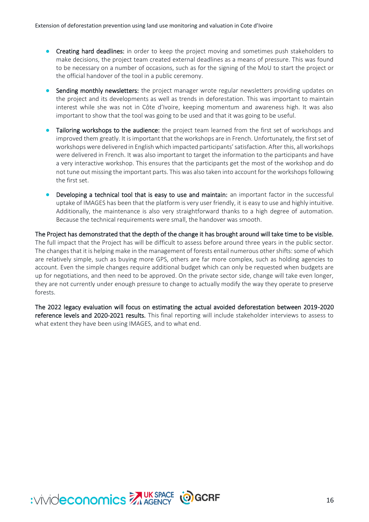- Creating hard deadlines: in order to keep the project moving and sometimes push stakeholders to make decisions, the project team created external deadlines as a means of pressure. This was found to be necessary on a number of occasions, such as for the signing of the MoU to start the project or the official handover of the tool in a public ceremony.
- Sending monthly newsletters: the project manager wrote regular newsletters providing updates on the project and its developments as well as trends in deforestation. This was important to maintain interest while she was not in Côte d'Ivoire, keeping momentum and awareness high. It was also important to show that the tool was going to be used and that it was going to be useful.
- Tailoring workshops to the audience: the project team learned from the first set of workshops and improved them greatly. It is important that the workshops are in French. Unfortunately, the first set of workshops were delivered in English which impacted participants' satisfaction. After this, all workshops were delivered in French. It was also important to target the information to the participants and have a very interactive workshop. This ensures that the participants get the most of the workshop and do not tune out missing the important parts. This was also taken into account for the workshops following the first set.
- Developing a technical tool that is easy to use and maintain: an important factor in the successful uptake of IMAGES has been that the platform is very user friendly, it is easy to use and highly intuitive. Additionally, the maintenance is also very straightforward thanks to a high degree of automation. Because the technical requirements were small, the handover was smooth.

The Project has demonstrated that the depth of the change it has brought around will take time to be visible. The full impact that the Project has will be difficult to assess before around three years in the public sector. The changes that it is helping make in the management of forests entail numerous other shifts: some of which are relatively simple, such as buying more GPS, others are far more complex, such as holding agencies to account. Even the simple changes require additional budget which can only be requested when budgets are up for negotiations, and then need to be approved. On the private sector side, change will take even longer, they are not currently under enough pressure to change to actually modify the way they operate to preserve forests.

The 2022 legacy evaluation will focus on estimating the actual avoided deforestation between 2019-2020 reference levels and 2020-2021 results. This final reporting will include stakeholder interviews to assess to what extent they have been using IMAGES, and to what end.